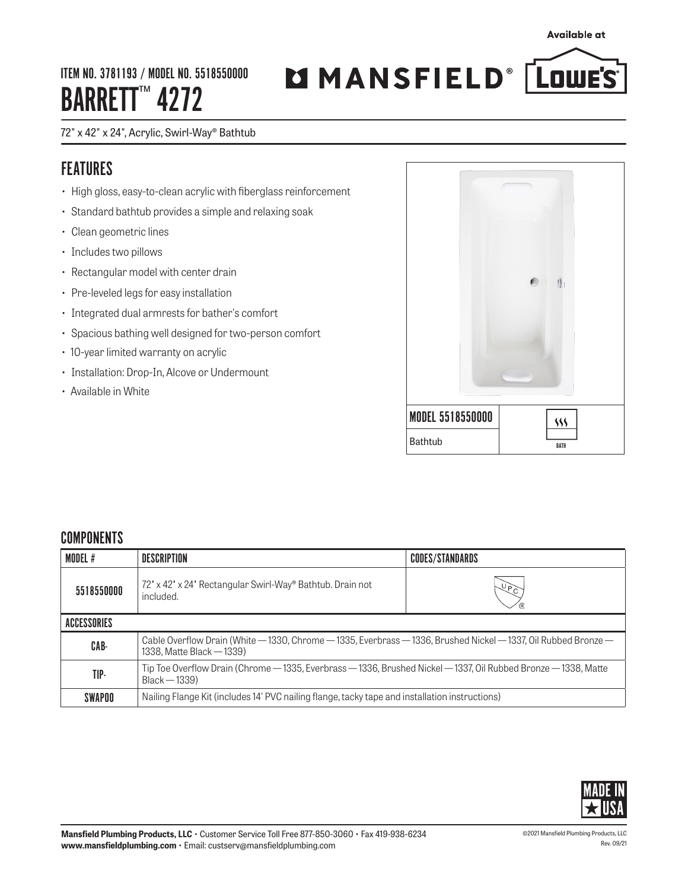ITEM NO. 3781193 / MODEL NO. 5518550000 BARRETT<sup>™</sup> 4272

# MMANSFIELD® LOWE'S

### 72" x 42" x 24", Acrylic, Swirl-Way® Bathtub

## FEATURES

- High gloss, easy-to-clean acrylic with fiberglass reinforcement
- Standard bathtub provides a simple and relaxing soak
- Clean geometric lines
- Includes two pillows
- Rectangular model with center drain
- Pre-leveled legs for easy installation
- Integrated dual armrests for bather's comfort
- Spacious bathing well designed for two-person comfort
- 10-year limited warranty on acrylic
- Installation: Drop-In, Alcove or Undermount
- Available in White



## **COMPONENTS**

| MODEL #     | DESCRIPTION                                                                                                                                  | <b>CODES/STANDARDS</b> |  |  |
|-------------|----------------------------------------------------------------------------------------------------------------------------------------------|------------------------|--|--|
| 5518550000  | 72' x 42' x 24' Rectangular Swirl-Way® Bathtub. Drain not<br>included.                                                                       | イトン<br>イトリン            |  |  |
| ACCESSORIES |                                                                                                                                              |                        |  |  |
| CAB-        | Cable Overflow Drain (White – 1330, Chrome – 1335, Everbrass – 1336, Brushed Nickel – 1337, Oil Rubbed Bronze –<br>1338. Matte Black - 1339) |                        |  |  |
| TIP-        | Tip Toe Overflow Drain (Chrome — 1335, Everbrass — 1336, Brushed Nickel — 1337, Oil Rubbed Bronze — 1338, Matte<br>$Black - 1339)$           |                        |  |  |
| SWAPOO      | Nailing Flange Kit (includes 14' PVC nailing flange, tacky tape and installation instructions)                                               |                        |  |  |